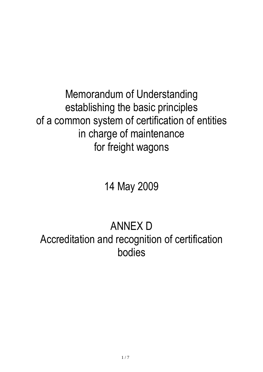Memorandum of Understanding establishing the basic principles of a common system of certification of entities in charge of maintenance for freight wagons

14 May 2009

# ANNEX D Accreditation and recognition of certification bodies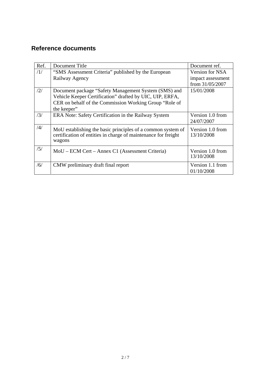## **Reference documents**

| Ref. | Document Title                                                 | Document ref.     |
|------|----------------------------------------------------------------|-------------------|
| /1/  | "SMS Assessment Criteria" published by the European            | Version for NSA   |
|      | Railway Agency                                                 | impact assessment |
|      |                                                                | from 31/05/2007   |
| /2/  | Document package "Safety Management System (SMS) and           | 15/01/2008        |
|      | Vehicle Keeper Certification" drafted by UIC, UIP, ERFA,       |                   |
|      | CER on behalf of the Commission Working Group "Role of         |                   |
|      | the keeper"                                                    |                   |
| /3/  | ERA Note: Safety Certification in the Railway System           | Version 1.0 from  |
|      |                                                                | 24/07/2007        |
| /4/  | MoU establishing the basic principles of a common system of    | Version 1.0 from  |
|      | certification of entities in charge of maintenance for freight | 13/10/2008        |
|      | wagons                                                         |                   |
| /5/  | MoU – ECM Cert – Annex C1 (Assessment Criteria)                | Version 1.0 from  |
|      |                                                                | 13/10/2008        |
|      |                                                                |                   |
| /6/  | CMW preliminary draft final report                             | Version 1.1 from  |
|      |                                                                | 01/10/2008        |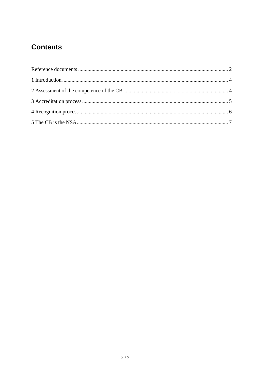# **Contents**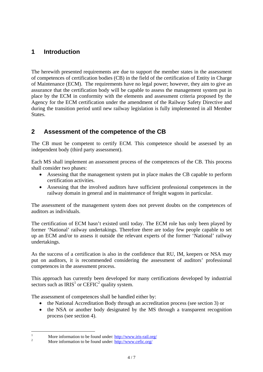## **1 Introduction**

The herewith presented requirements are due to support the member states in the assessment of competences of certification bodies (CB) in the field of the certification of Entity in Charge of Maintenance (ECM). The requirements have no legal power; however, they aim to give an assurance that the certification body will be capable to assess the management system put in place by the ECM in conformity with the elements and assessment criteria proposed by the Agency for the ECM certification under the amendment of the Railway Safety Directive and during the transition period until new railway legislation is fully implemented in all Member States.

## **2 Assessment of the competence of the CB**

The CB must be competent to certify ECM. This competence should be assessed by an independent body (third party assessment).

Each MS shall implement an assessment process of the competences of the CB. This process shall consider two phases:

- Assessing that the management system put in place makes the CB capable to perform certification activities.
- Assessing that the involved auditors have sufficient professional competences in the railway domain in general and in maintenance of freight wagons in particular.

The assessment of the management system does not prevent doubts on the competences of auditors as individuals.

The certification of ECM hasn't existed until today. The ECM role has only been played by former 'National' railway undertakings. Therefore there are today few people capable to set up an ECM and/or to assess it outside the relevant experts of the former 'National' railway undertakings.

As the success of a certification is also in the confidence that RU, IM, keepers or NSA may put on auditors, it is recommended considering the assessment of auditors' professional competences in the assessment process.

This approach has currently been developed for many certifications developed by industrial sectors such as  $IRIS<sup>1</sup>$  or CEFIC<sup>2</sup> quality system.

The assessment of competences shall be handled either by:

- the National Accreditation Body through an accreditation process (see section 3) or
- the NSA or another body designated by the MS through a transparent recognition process (see section 4).

 $\frac{1}{1}$ More information to be found under:  $\frac{http://www.iris-raid.org/}{http://www.iris-raid.org/})$ 

[More information to be found under: http://www.cefic.org/](http://www.cefic.org/)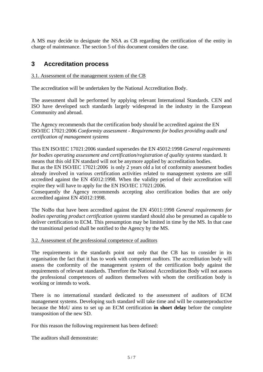A MS may decide to designate the NSA as CB regarding the certification of the entity in charge of maintenance. The section 5 of this document considers the case.

## **3 Accreditation process**

#### 3.1. Assessment of the management system of the CB

The accreditation will be undertaken by the National Accreditation Body.

The assessment shall be performed by applying relevant International Standards. CEN and ISO have developed such standards largely widespread in the industry in the European Community and abroad.

The Agency recommends that the certification body should be accredited against the EN ISO/IEC 17021:2006 *Conformity assessment - Requirements for bodies providing audit and certification of management systems* 

This EN ISO/IEC 17021:2006 standard supersedes the EN 45012:1998 *General requirements for bodies operating assessment and certification/registration of quality systems* standard. It means that this old EN standard will not be anymore applied by accreditation bodies. But as the EN ISO/IEC 17021:2006 is only 2 years old a lot of conformity assessment bodies already involved in various certification activities related to management systems are still accredited against the EN 45012:1998. When the validity period of their accreditation will expire they will have to apply for the EN ISO/IEC 17021:2006.

Consequently the Agency recommends accepting also certification bodies that are only accredited against EN 45012:1998.

The NoBo that have been accredited against the EN 45011:1998 *General requirements for bodies operating product certification systems* standard should also be presumed as capable to deliver certification to ECM. This presumption may be limited in time by the MS. In that case the transitional period shall be notified to the Agency by the MS.

#### 3.2. Assessment of the professional competence of auditors

The requirements in the standards point out only that the CB has to consider in its organisation the fact that it has to work with competent auditors. The accreditation body will assess the conformity of the management system of the certification body against the requirements of relevant standards. Therefore the National Accreditation Body will not assess the professional competences of auditors themselves with whom the certification body is working or intends to work.

There is no international standard dedicated to the assessment of auditors of ECM management systems. Developing such standard will take time and will be counterproductive because the MoU aims to set up an ECM certification **in short delay** before the complete transposition of the new SD.

For this reason the following requirement has been defined:

The auditors shall demonstrate: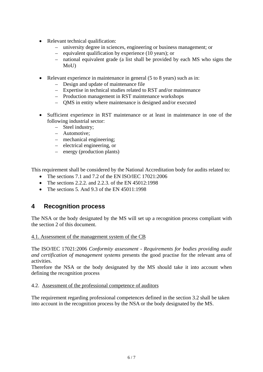- Relevant technical qualification:
	- university degree in sciences, engineering or business management; or
	- equivalent qualification by experience (10 years); or
	- national equivalent grade (a list shall be provided by each MS who signs the MoU)
- Relevant experience in maintenance in general (5 to 8 years) such as in:
	- Design and update of maintenance file
	- Expertise in technical studies related to RST and/or maintenance
	- Production management in RST maintenance workshops
	- QMS in entity where maintenance is designed and/or executed
- Sufficient experience in RST maintenance or at least in maintenance in one of the following industrial sector:
	- Steel industry;
	- Automotive;
	- mechanical engineering;
	- electrical engineering, or
	- energy (production plants)

This requirement shall be considered by the National Accreditation body for audits related to:

- The sections 7.1 and 7.2 of the EN ISO/IEC 17021:2006
- The sections 2.2.2. and 2.2.3. of the EN 45012:1998
- The sections 5. And 9.3 of the EN 45011:1998

### **4 Recognition process**

The NSA or the body designated by the MS will set up a recognition process compliant with the section 2 of this document.

#### 4.1. Assessment of the management system of the CB

The ISO/IEC 17021:2006 *Conformity assessment - Requirements for bodies providing audit and certification of management systems* presents the good practise for the relevant area of activities.

Therefore the NSA or the body designated by the MS should take it into account when defining the recognition process

#### 4.2. Assessment of the professional competence of auditors

The requirement regarding professional competences defined in the section 3.2 shall be taken into account in the recognition process by the NSA or the body designated by the MS.